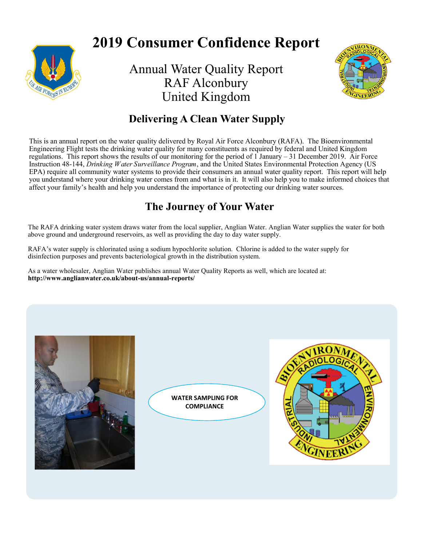

# **2019 Consumer Confidence Report**

Annual Water Quality Report RAF Alconbury United Kingdom



# **Delivering A Clean Water Supply**

This is an annual report on the water quality delivered by Royal Air Force Alconbury (RAFA). The Bioenvironmental Engineering Flight tests the drinking water quality for many constituents as required by federal and United Kingdom regulations. This report shows the results of our monitoring for the period of 1 January – 31 December 2019. Air Force Instruction 48-144, *Drinking Water Surveillance Program*, and the United States Environmental Protection Agency (US EPA) require all community water systems to provide their consumers an annual water quality report. This report will help you understand where your drinking water comes from and what is in it. It will also help you to make informed choices that affect your family's health and help you understand the importance of protecting our drinking water sources.

# **The Journey of Your Water**

The RAFA drinking water system draws water from the local supplier, Anglian Water. Anglian Water supplies the water for both above ground and underground reservoirs, as well as providing the day to day water supply.

RAFA's water supply is chlorinated using a sodium hypochlorite solution. Chlorine is added to the water supply for disinfection purposes and prevents bacteriological growth in the distribution system.

As a water wholesaler, Anglian Water publishes annual Water Quality Reports as well, which are located at: **http://www.anglianwater.co.uk/about-us/annual-reports/** 



**WATER SAMPLING FOR COMPLIANCE**

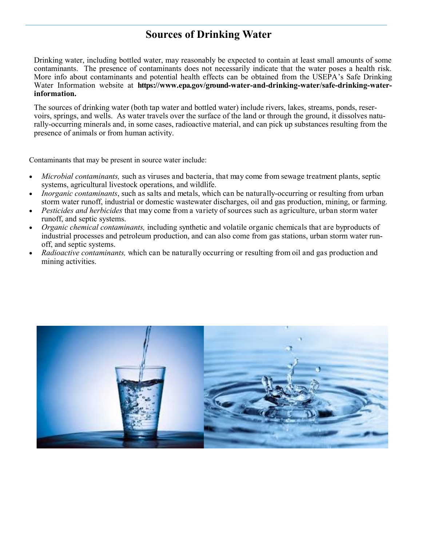# **Sources of Drinking Water**

Drinking water, including bottled water, may reasonably be expected to contain at least small amounts of some contaminants. The presence of contaminants does not necessarily indicate that the water poses a health risk. More info about contaminants and potential health effects can be obtained from the USEPA's Safe Drinking Water Information website at **https://www.epa.gov/ground-water-and-drinking-water/safe-drinking-waterinformation.** 

The sources of drinking water (both tap water and bottled water) include rivers, lakes, streams, ponds, reservoirs, springs, and wells. As water travels over the surface of the land or through the ground, it dissolves naturally-occurring minerals and, in some cases, radioactive material, and can pick up substances resulting from the presence of animals or from human activity.

Contaminants that may be present in source water include:

- *Microbial contaminants,* such as viruses and bacteria, that may come from sewage treatment plants, septic systems, agricultural livestock operations, and wildlife.
- *Inorganic contaminants*, such as salts and metals, which can be naturally-occurring or resulting from urban storm water runoff, industrial or domestic wastewater discharges, oil and gas production, mining, or farming.
- *Pesticides and herbicides* that may come from a variety of sources such as agriculture, urban storm water runoff, and septic systems.
- *Organic chemical contaminants,* including synthetic and volatile organic chemicals that are byproducts of industrial processes and petroleum production, and can also come from gas stations, urban storm water runoff, and septic systems.
- *Radioactive contaminants,* which can be naturally occurring or resulting from oil and gas production and mining activities.

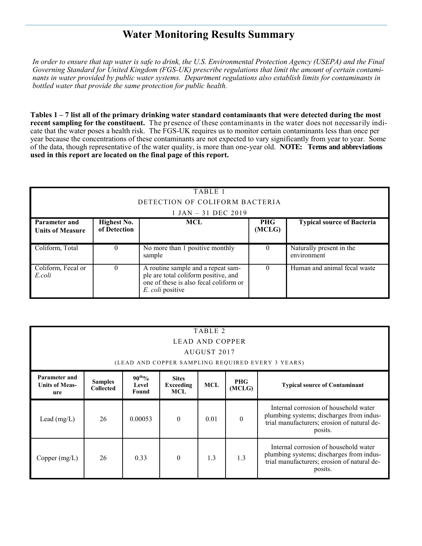## **Water Monitoring Results Summary**

*In order to ensure that tap water is safe to drink, the U.S. Environmental Protection Agency (USEPA) and the Final Governing Standard for United Kingdom (FGS-UK) prescribe regulations that limit the amount of certain contaminants in water provided by public water systems. Department regulations also establish limits for contaminants in bottled water that provide the same protection for public health.*

**Tables 1 – 7 list all of the primary drinking water standard contaminants that were detected during the most recent sampling for the constituent.** The presence of these contaminants in the water does not necessarily indicate that the water poses a health risk. The FGS-UK requires us to monitor certain contaminants less than once per year because the concentrations of these contaminants are not expected to vary significantly from year to year. Some of the data, though representative of the water quality, is more than one-year old. **NOTE: Terms and abbreviations used in this report are located on the final page of this report.**

| TABLE 1                                  |                                    |                                                                                                                                          |                      |                                         |  |  |  |  |  |
|------------------------------------------|------------------------------------|------------------------------------------------------------------------------------------------------------------------------------------|----------------------|-----------------------------------------|--|--|--|--|--|
|                                          | DETECTION OF COLIFORM BACTERIA     |                                                                                                                                          |                      |                                         |  |  |  |  |  |
|                                          |                                    | $1$ JAN $-$ 31 DEC 2019                                                                                                                  |                      |                                         |  |  |  |  |  |
| Parameter and<br><b>Units of Measure</b> | <b>Highest No.</b><br>of Detection | MCL                                                                                                                                      | <b>PHG</b><br>(MCLG) | <b>Typical source of Bacteria</b>       |  |  |  |  |  |
| Coliform, Total                          | $\theta$                           | No more than 1 positive monthly<br>sample                                                                                                | 0                    | Naturally present in the<br>environment |  |  |  |  |  |
| Coliform, Fecal or<br>E.coli             | $\theta$                           | A routine sample and a repeat sam-<br>ple are total coliform positive, and<br>one of these is also fecal coliform or<br>E. coli positive | 0                    | Human and animal fecal waste            |  |  |  |  |  |

| TABLE 2<br>LEAD AND COPPER<br>AUGUST 2017<br>(LEAD AND COPPER SAMPLING REQUIRED EVERY 3 YEARS) |                                                                                                                                                                                              |         |          |      |          |                                                                                                                                             |  |
|------------------------------------------------------------------------------------------------|----------------------------------------------------------------------------------------------------------------------------------------------------------------------------------------------|---------|----------|------|----------|---------------------------------------------------------------------------------------------------------------------------------------------|--|
| Parameter and<br><b>Units of Meas-</b><br>ure                                                  | $90^{th}\%$<br><b>Sites</b><br><b>PHG</b><br><b>Samples</b><br><b>MCL</b><br><b>Exceeding</b><br><b>Typical source of Contaminant</b><br>Level<br>(MCLG)<br><b>Collected</b><br>Found<br>MCL |         |          |      |          |                                                                                                                                             |  |
| Lead $(mg/L)$                                                                                  | 26                                                                                                                                                                                           | 0.00053 | $\theta$ | 0.01 | $\theta$ | Internal corrosion of household water<br>plumbing systems; discharges from indus-<br>trial manufacturers; erosion of natural de-<br>posits. |  |
| Copper $(mg/L)$                                                                                | 26                                                                                                                                                                                           | 0.33    | $\Omega$ | 1.3  | 1.3      | Internal corrosion of household water<br>plumbing systems; discharges from indus-<br>trial manufacturers; erosion of natural de-<br>posits. |  |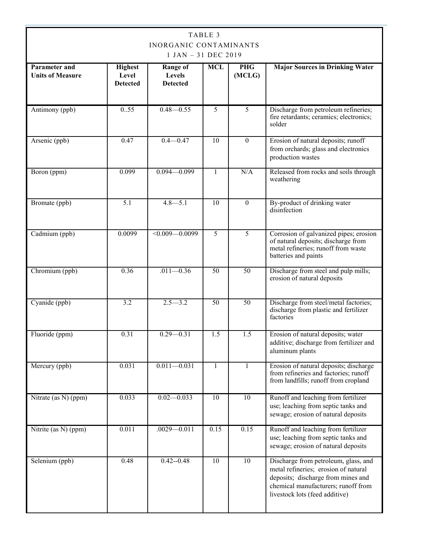| TABLE 3<br><b>INORGANIC CONTAMINANTS</b><br>1 JAN - 31 DEC 2019 |                                            |                                              |                 |                      |                                                                                                                                                                                             |  |
|-----------------------------------------------------------------|--------------------------------------------|----------------------------------------------|-----------------|----------------------|---------------------------------------------------------------------------------------------------------------------------------------------------------------------------------------------|--|
| <b>Parameter and</b><br><b>Units of Measure</b>                 | <b>Highest</b><br>Level<br><b>Detected</b> | <b>Range of</b><br>Levels<br><b>Detected</b> | <b>MCL</b>      | <b>PHG</b><br>(MCLG) | <b>Major Sources in Drinking Water</b>                                                                                                                                                      |  |
| Antimony (ppb)                                                  | 0.55                                       | $0.48 - 0.55$                                | 5               | 5                    | Discharge from petroleum refineries;<br>fire retardants; ceramics; electronics;<br>solder                                                                                                   |  |
| Arsenic (ppb)                                                   | 0.47                                       | $0.4 - 0.47$                                 | $\overline{10}$ | $\theta$             | Erosion of natural deposits; runoff<br>from orchards; glass and electronics<br>production wastes                                                                                            |  |
| Boron (ppm)                                                     | 0.099                                      | $0.094 - 0.099$                              | $\mathbf{1}$    | N/A                  | Released from rocks and soils through<br>weathering                                                                                                                                         |  |
| Bromate (ppb)                                                   | 5.1                                        | $4.8 - 5.1$                                  | $\overline{10}$ | $\theta$             | By-product of drinking water<br>disinfection                                                                                                                                                |  |
| Cadmium (ppb)                                                   | 0.0099                                     | $\leq 0.009 - 0.0099$                        | $\overline{5}$  | 5                    | Corrosion of galvanized pipes; erosion<br>of natural deposits; discharge from<br>metal refineries; runoff from waste<br>batteries and paints                                                |  |
| Chromium (ppb)                                                  | 0.36                                       | $.011 - 0.36$                                | $\overline{50}$ | 50                   | Discharge from steel and pulp mills;<br>erosion of natural deposits                                                                                                                         |  |
| Cyanide (ppb)                                                   | 3.2                                        | $2.5 - 3.2$                                  | $\overline{50}$ | $\overline{50}$      | Discharge from steel/metal factories;<br>discharge from plastic and fertilizer<br>factories                                                                                                 |  |
| Fluoride (ppm)                                                  | 0.31                                       | $0.29 - 0.31$                                | 1.5             | 1.5                  | Erosion of natural deposits; water<br>additive; discharge from fertilizer and<br>aluminum plants                                                                                            |  |
| Mercury (ppb)                                                   | 0.031                                      | $0.011 - 0.031$                              | 1               | 1                    | Erosion of natural deposits; discharge<br>from refineries and factories; runoff<br>from landfills; runoff from cropland                                                                     |  |
| Nitrate (as N) (ppm)                                            | 0.033                                      | $0.02 - 0.033$                               | $\overline{10}$ | $\overline{10}$      | Runoff and leaching from fertilizer<br>use; leaching from septic tanks and<br>sewage; erosion of natural deposits                                                                           |  |
| Nitrite (as N) (ppm)                                            | 0.011                                      | $.0029 - 0.011$                              | 0.15            | 0.15                 | Runoff and leaching from fertilizer<br>use; leaching from septic tanks and<br>sewage; erosion of natural deposits                                                                           |  |
| Selenium (ppb)                                                  | 0.48                                       | $0.42 - 0.48$                                | $\overline{10}$ | 10                   | Discharge from petroleum, glass, and<br>metal refineries; erosion of natural<br>deposits; discharge from mines and<br>chemical manufacturers; runoff from<br>livestock lots (feed additive) |  |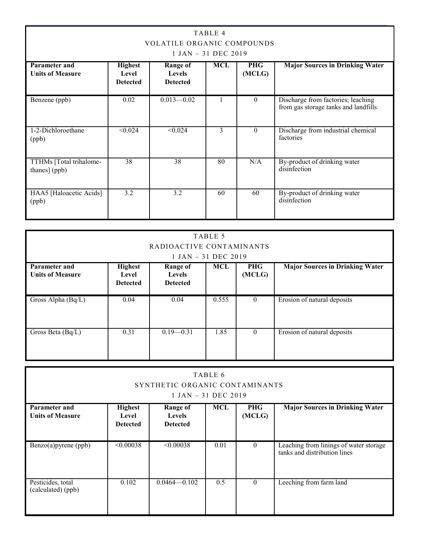| TABLE 4<br><b>VOLATILE ORGANIC COMPOUNDS</b><br>$1$ JAN $-$ 31 DEC 2019 |                                            |                                                     |     |                      |                                                                            |  |
|-------------------------------------------------------------------------|--------------------------------------------|-----------------------------------------------------|-----|----------------------|----------------------------------------------------------------------------|--|
| <b>Parameter and</b><br><b>Units of Measure</b>                         | <b>Highest</b><br>Level<br><b>Detected</b> | <b>Range of</b><br><b>Levels</b><br><b>Detected</b> | MCL | <b>PHG</b><br>(MCLG) | <b>Major Sources in Drinking Water</b>                                     |  |
| Benzene (ppb)                                                           | 0.02                                       | $0.013 - 0.02$                                      |     | $\Omega$             | Discharge from factories; leaching<br>from gas storage tanks and landfills |  |
| 1-2-Dichloroethane<br>(ppb)                                             | $\sqrt{0.024}$                             | < 0.024                                             | 3   | $\theta$             | Discharge from industrial chemical<br>factories                            |  |
| TTHMs [Total trihalome-<br>thanes] (ppb)                                | 38                                         | $\overline{38}$                                     | 80  | N/A                  | By-product of drinking water<br>disinfection                               |  |
| HAA5 [Haloacetic Acids]<br>(ppb)                                        | 3.2                                        | 3.2                                                 | 60  | 60                   | By-product of drinking water<br>disinfection                               |  |

| TABLE 5<br>RADIOACTIVE CONTAMINANTS<br>$1$ JAN $-$ 31 DEC 2019                                                                                                                                                                       |      |               |       |          |                             |  |
|--------------------------------------------------------------------------------------------------------------------------------------------------------------------------------------------------------------------------------------|------|---------------|-------|----------|-----------------------------|--|
| <b>Major Sources in Drinking Water</b><br><b>Highest</b><br><b>MCL</b><br><b>PHG</b><br><b>Parameter and</b><br><b>Range of</b><br>(MCLG)<br><b>Units of Measure</b><br><b>Levels</b><br>Level<br><b>Detected</b><br><b>Detected</b> |      |               |       |          |                             |  |
| Gross Alpha (Bq/L)                                                                                                                                                                                                                   | 0.04 | 0.04          | 0.555 | $\theta$ | Erosion of natural deposits |  |
| Gross Beta (Bq/L)                                                                                                                                                                                                                    | 0.31 | $0.19 - 0.31$ | 1.85  | $\theta$ | Erosion of natural deposits |  |

| TABLE 6<br>SYNTHETIC ORGANIC CONTAMINANTS<br>$1$ JAN $-$ 31 DEC 2019 |                                            |                                                     |            |                      |                                                                        |
|----------------------------------------------------------------------|--------------------------------------------|-----------------------------------------------------|------------|----------------------|------------------------------------------------------------------------|
| Parameter and<br><b>Units of Measure</b>                             | <b>Highest</b><br>Level<br><b>Detected</b> | <b>Range of</b><br><b>Levels</b><br><b>Detected</b> | <b>MCL</b> | <b>PHG</b><br>(MCLG) | <b>Major Sources in Drinking Water</b>                                 |
| $\overline{\text{Benzo(a)}\text{pyrene}}$ (ppb)                      | $\leq 0.00038$                             | < 0.00038                                           | 0.01       | $\theta$             | Leaching from linings of water storage<br>tanks and distribution lines |
| Pesticides, total<br>(calculated) (ppb)                              | 0.102                                      | $0.0464 - 0.102$                                    | 0.5        | $\theta$             | Leeching from farm land                                                |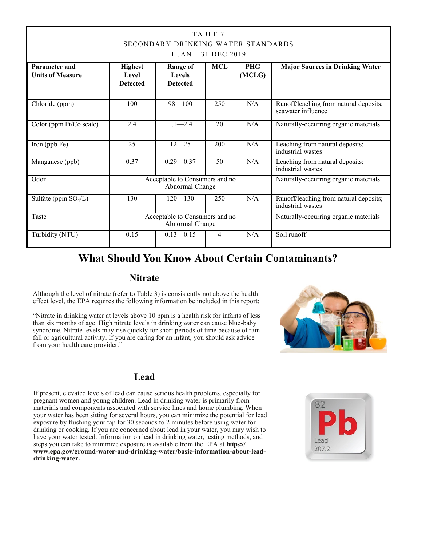| TABLE 7<br>SECONDARY DRINKING WATER STANDARDS<br>$1$ JAN $-$ 31 DEC 2019 |                                                                                            |                                                     |            |                      |                                                              |  |
|--------------------------------------------------------------------------|--------------------------------------------------------------------------------------------|-----------------------------------------------------|------------|----------------------|--------------------------------------------------------------|--|
| Parameter and<br><b>Units of Measure</b>                                 | <b>Highest</b><br>Level<br><b>Detected</b>                                                 | <b>Range of</b><br><b>Levels</b><br><b>Detected</b> | <b>MCL</b> | <b>PHG</b><br>(MCLG) | <b>Major Sources in Drinking Water</b>                       |  |
| Chloride (ppm)                                                           | 100                                                                                        | $98 - 100$                                          | 250        | N/A                  | Runoff/leaching from natural deposits;<br>seawater influence |  |
| Color (ppm Pt/Co scale)                                                  | 2.4                                                                                        | $1.1 - 2.4$                                         | 20         | N/A                  | Naturally-occurring organic materials                        |  |
| Iron (ppb Fe)                                                            | 25                                                                                         | $12 - 25$                                           | 200        | N/A                  | Leaching from natural deposits;<br>industrial wastes         |  |
| Manganese (ppb)                                                          | 0.37                                                                                       | $0.29 - 0.37$                                       | 50         | N/A                  | Leaching from natural deposits;<br>industrial wastes         |  |
| Odor                                                                     | Acceptable to Consumers and no<br>Naturally-occurring organic materials<br>Abnormal Change |                                                     |            |                      |                                                              |  |
| Sulfate (ppm $SO_4/L$ )                                                  | 130                                                                                        | $120 - 130$                                         | 250        | N/A                  | Runoff/leaching from natural deposits;<br>industrial wastes  |  |
| Taste                                                                    | Acceptable to Consumers and no<br>Naturally-occurring organic materials<br>Abnormal Change |                                                     |            |                      |                                                              |  |
| Turbidity (NTU)                                                          | Soil runoff<br>0.15<br>$0.13 - 0.15$<br>N/A<br>$\overline{4}$                              |                                                     |            |                      |                                                              |  |

### **What Should You Know About Certain Contaminants?**

#### **Nitrate**

Although the level of nitrate (refer to Table 3) is consistently not above the health effect level, the EPA requires the following information be included in this report:

"Nitrate in drinking water at levels above 10 ppm is a health risk for infants of less than six months of age. High nitrate levels in drinking water can cause blue-baby syndrome. Nitrate levels may rise quickly for short periods of time because of rainfall or agricultural activity. If you are caring for an infant, you should ask advice from your health care provider."



#### **Lead**

If present, elevated levels of lead can cause serious health problems, especially for pregnant women and young children. Lead in drinking water is primarily from materials and components associated with service lines and home plumbing. When your water has been sitting for several hours, you can minimize the potential for lead exposure by flushing your tap for 30 seconds to 2 minutes before using water for drinking or cooking. If you are concerned about lead in your water, you may wish to have your water tested. Information on lead in drinking water, testing methods, and steps you can take to minimize exposure is available from the EPA at **https:// www.epa.gov/ground-water-and-drinking-water/basic-information-about-leaddrinking-water.**